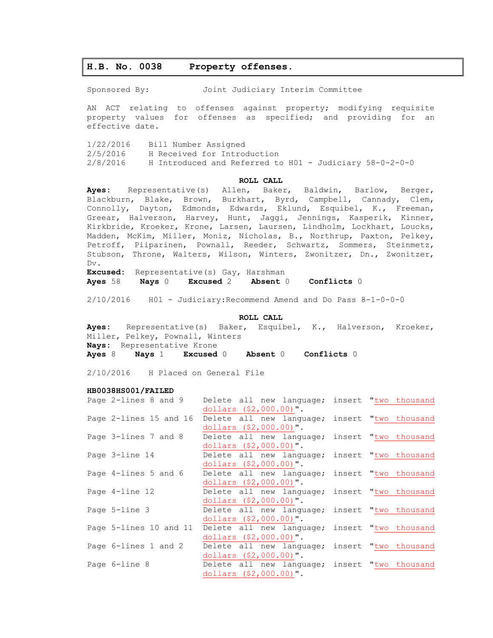# **H.B. No. 0038 Property offenses.**

Sponsored By: Joint Judiciary Interim Committee

AN ACT relating to offenses against property; modifying requisite property values for offenses as specified; and providing for an effective date.

1/22/2016 Bill Number Assigned 2/5/2016 H Received for Introduction 2/8/2016 H Introduced and Referred to H01 - Judiciary 58-0-2-0-0

## **ROLL CALL**

**Ayes:** Representative(s) Allen, Baker, Baldwin, Barlow, Berger, Blackburn, Blake, Brown, Burkhart, Byrd, Campbell, Cannady, Clem, Connolly, Dayton, Edmonds, Edwards, Eklund, Esquibel, K., Freeman, Greear, Halverson, Harvey, Hunt, Jaggi, Jennings, Kasperik, Kinner, Kirkbride, Kroeker, Krone, Larsen, Laursen, Lindholm, Lockhart, Loucks, Madden, McKim, Miller, Moniz, Nicholas, B., Northrup, Paxton, Pelkey, Petroff, Piiparinen, Pownall, Reeder, Schwartz, Sommers, Steinmetz, Stubson, Throne, Walters, Wilson, Winters, Zwonitzer, Dn., Zwonitzer, Dv. **Excused:** Representative(s) Gay, Harshman

**Ayes** 58 **Nays** 0 **Excused** 2 **Absent** 0 **Conflicts** 0

2/10/2016 H01 - Judiciary:Recommend Amend and Do Pass 8-1-0-0-0

### **ROLL CALL**

**Ayes:** Representative(s) Baker, Esquibel, K., Halverson, Kroeker, Miller, Pelkey, Pownall, Winters **Nays:** Representative Krone **Ayes** 8 **Nays** 1 **Excused** 0 **Absent** 0 **Conflicts** 0

2/10/2016 H Placed on General File

#### **HB0038HS001/FAILED**

| Page 2-lines 8 and 9   | Delete all new language; insert "two thousand |                      |
|------------------------|-----------------------------------------------|----------------------|
|                        | dollars $(\$2,000.00)$ ".                     |                      |
| Page 2-lines 15 and 16 | Delete all new language; insert "two thousand |                      |
|                        | dollars (\$2,000.00)".                        |                      |
| Page 3-lines 7 and 8   | Delete all new language; insert "two thousand |                      |
|                        | dollars $($2,000.00)"$ .                      |                      |
| Page 3-line 14         | Delete all new language; insert "two thousand |                      |
|                        | dollars $(\$2,000.00)$ ".                     |                      |
| Page 4-lines 5 and 6   | Delete all new language; insert "two thousand |                      |
|                        | dollars $($2,000.00)"$ .                      |                      |
| Page 4-line 12         | Delete all new language;                      | insert "two thousand |
|                        | dollars (\$2,000.00)".                        |                      |
| Page 5-line 3          | Delete all new language; insert "two thousand |                      |
|                        | dollars $($2,000.00)"$ .                      |                      |
| Page 5-lines 10 and 11 | Delete all new language;                      | insert "two thousand |
|                        | dollars $($2,000.00)"$ .                      |                      |
| Page 6-lines 1 and 2   | Delete all new language; insert "two thousand |                      |
|                        | dollars $($2,000.00)"$ .                      |                      |
| Page 6-line 8          | Delete all new language; insert "two thousand |                      |
|                        | dollars $($2,000.00)"$ .                      |                      |